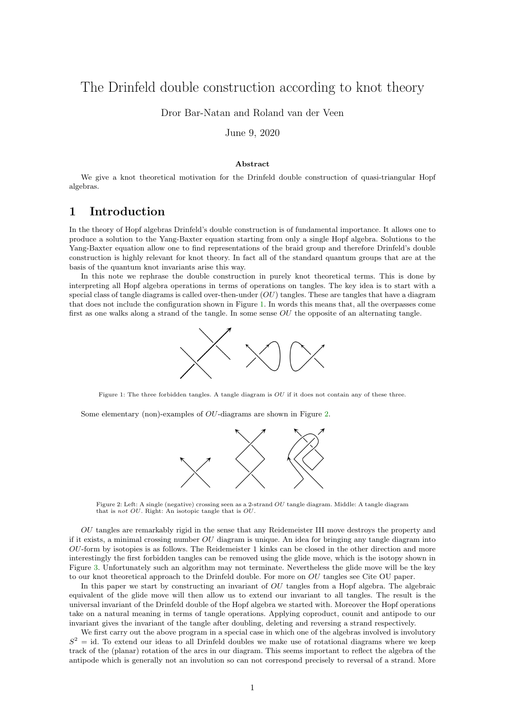# The Drinfeld double construction according to knot theory

Dror Bar-Natan and Roland van der Veen

June 9, 2020

#### Abstract

We give a knot theoretical motivation for the Drinfeld double construction of quasi-triangular Hopf algebras.

## 1 Introduction

In the theory of Hopf algebras Drinfeld's double construction is of fundamental importance. It allows one to produce a solution to the Yang-Baxter equation starting from only a single Hopf algebra. Solutions to the Yang-Baxter equation allow one to find representations of the braid group and therefore Drinfeld's double construction is highly relevant for knot theory. In fact all of the standard quantum groups that are at the basis of the quantum knot invariants arise this way.

<span id="page-0-0"></span>In this note we rephrase the double construction in purely knot theoretical terms. This is done by interpreting all Hopf algebra operations in terms of operations on tangles. The key idea is to start with a special class of tangle diagrams is called over-then-under  $(OU)$  tangles. These are tangles that have a diagram that does not include the configuration shown in Figure [1.](#page-0-0) In words this means that, all the overpasses come first as one walks along a strand of the tangle. In some sense  $OU$  the opposite of an alternating tangle.



Figure 1: The three forbidden tangles. A tangle diagram is OU if it does not contain any of these three.

<span id="page-0-1"></span>Some elementary (non)-examples of *OU*-diagrams are shown in Figure [2.](#page-0-1)



Figure 2: Left: A single (negative) crossing seen as a 2-strand OU tangle diagram. Middle: A tangle diagram that is not OU. Right: An isotopic tangle that is OU.

OU tangles are remarkably rigid in the sense that any Reidemeister III move destroys the property and if it exists, a minimal crossing number  $OU$  diagram is unique. An idea for bringing any tangle diagram into OU-form by isotopies is as follows. The Reidemeister 1 kinks can be closed in the other direction and more interestingly the first forbidden tangles can be removed using the glide move, which is the isotopy shown in Figure [3.](#page-1-0) Unfortunately such an algorithm may not terminate. Nevertheless the glide move will be the key to our knot theoretical approach to the Drinfeld double. For more on OU tangles see Cite OU paper.

In this paper we start by constructing an invariant of  $OU$  tangles from a Hopf algebra. The algebraic equivalent of the glide move will then allow us to extend our invariant to all tangles. The result is the universal invariant of the Drinfeld double of the Hopf algebra we started with. Moreover the Hopf operations take on a natural meaning in terms of tangle operations. Applying coproduct, counit and antipode to our invariant gives the invariant of the tangle after doubling, deleting and reversing a strand respectively.

We first carry out the above program in a special case in which one of the algebras involved is involutory  $S<sup>2</sup>$  = id. To extend our ideas to all Drinfeld doubles we make use of rotational diagrams where we keep track of the (planar) rotation of the arcs in our diagram. This seems important to reflect the algebra of the antipode which is generally not an involution so can not correspond precisely to reversal of a strand. More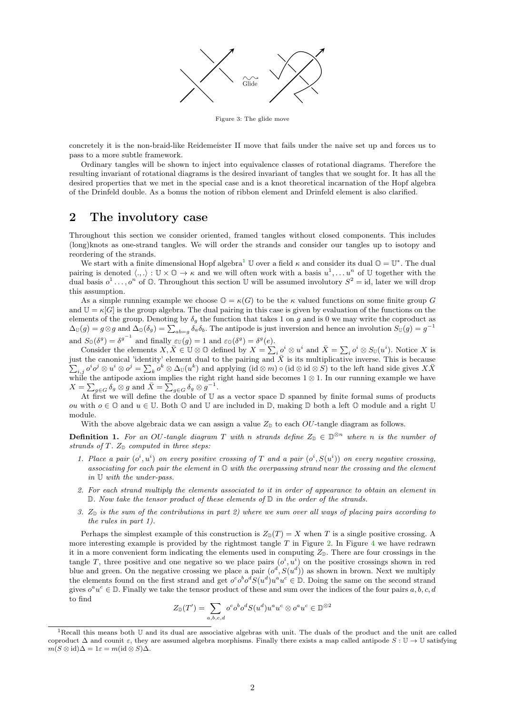

Figure 3: The glide move

<span id="page-1-0"></span>concretely it is the non-braid-like Reidemeister II move that fails under the naive set up and forces us to pass to a more subtle framework.

Ordinary tangles will be shown to inject into equivalence classes of rotational diagrams. Therefore the resulting invariant of rotational diagrams is the desired invariant of tangles that we sought for. It has all the desired properties that we met in the special case and is a knot theoretical incarnation of the Hopf algebra of the Drinfeld double. As a bonus the notion of ribbon element and Drinfeld element is also clarified.

#### 2 The involutory case

Throughout this section we consider oriented, framed tangles without closed components. This includes (long)knots as one-strand tangles. We will order the strands and consider our tangles up to isotopy and reordering of the strands.

We start with a finite dimensional Hopf algebra<sup>[1](#page-1-1)</sup> U over a field  $\kappa$  and consider its dual  $\mathbb{O} = \mathbb{U}^*$ . The dual pairing is denoted  $\langle .,.\rangle : \mathbb{U} \times \mathbb{O} \to \kappa$  and we will often work with a basis  $u^1, \ldots u^n$  of  $\mathbb{U}$  together with the dual basis  $o^1 \ldots, o^n$  of  $\mathbb O$ . Throughout this section U will be assumed involutory  $S^2 = id$ , later we will drop this assumption.

As a simple running example we choose  $\mathbb{O} = \kappa(G)$  to be the  $\kappa$  valued functions on some finite group G and  $\mathbb{U} = \kappa[G]$  is the group algebra. The dual pairing in this case is given by evaluation of the functions on the elements of the group. Denoting by  $\delta_g$  the function that takes 1 on g and is 0 we may write the coproduct as  $\Delta_U(g) = g \otimes g$  and  $\Delta_U(\delta_g) = \sum_{ab=g} \delta_a \delta_b$ . The antipode is just inversion and hence an involution  $S_U(g) = g^{-1}$ and  $S_{\mathbb{O}}(\delta^g) = {\delta^g}^{-1}$  and finally  $\varepsilon_{\mathbb{U}}(g) = 1$  and  $\varepsilon_{\mathbb{O}}(\delta^g) = \delta^g(e)$ .

Consider the elements  $X, \overline{X} \in \mathbb{U} \otimes \mathbb{O}$  defined by  $X = \sum_i \overline{o}^i \otimes u^i$  and  $\overline{X} = \sum_i o^i \otimes S_{\mathbb{U}}(u^i)$ . Notice X is just the canonical 'identity' element dual to the pairing and  $\overline{X}$  is its multiplicative inverse. This is because  $\sum_{i,j} o^i o^j \otimes u^i \otimes o^j = \sum_k o^k \otimes \Delta_{\mathbb{U}}(u^k)$  and applying  $(\mathrm{id} \otimes m) \circ (\mathrm{id} \otimes \mathrm{id} \otimes S)$  to the left hand side gives  $X\bar{X}$ while the antipode axiom implies the right right hand side becomes  $1 \otimes 1$ . In our running example we have  $X = \sum_{g \in G} \delta_g \otimes g$  and  $\bar{X} = \sum_{g \in G} \delta_g \otimes g^{-1}$ .

At first we will define the double of U as a vector space D spanned by finite formal sums of products ou with  $o \in \mathbb{O}$  and  $u \in \mathbb{U}$ . Both  $\mathbb{O}$  and  $\mathbb{U}$  are included in  $\mathbb{D}$ , making  $\mathbb{D}$  both a left  $\mathbb{O}$  module and a right  $\mathbb{U}$ module.

With the above algebraic data we can assign a value  $Z_{\mathbb{D}}$  to each OU-tangle diagram as follows.

<span id="page-1-2"></span>**Definition 1.** For an OU-tangle diagram T with n strands define  $Z_{\mathbb{D}} \in \mathbb{D}^{\otimes n}$  where n is the number of strands of  $T$ .  $Z_{\mathbb{D}}$  computed in three steps.

- 1. Place a pair  $(o^i, u^i)$  on every positive crossing of T and a pair  $(o^i, S(u^i))$  on every negative crossing, associating for each pair the element in  $\mathbb{O}$  with the overpassing strand near the crossing and the element in U with the under-pass.
- 2. For each strand multiply the elements associated to it in order of appearance to obtain an element in  $\mathbb{D}$ . Now take the tensor product of these elements of  $\mathbb{D}$  in the order of the strands.
- 3.  $Z_{\mathbb{D}}$  is the sum of the contributions in part 2) where we sum over all ways of placing pairs according to the rules in part 1).

Perhaps the simplest example of this construction is  $Z_{\mathbb{D}}(T) = X$  when T is a single positive crossing. A more interesting example is provided by the rightmost tangle  $T$  in Figure [2.](#page-0-1) In Figure [4](#page-2-0) we have redrawn it in a more convenient form indicating the elements used in computing  $Z_{D}$ . There are four crossings in the tangle T, three positive and one negative so we place pairs  $(o^i, u^i)$  on the positive crossings shown in red blue and green. On the negative crossing we place a pair  $(o^d, S(u^d))$  as shown in brown. Next we multiply the elements found on the first strand and get  $o^c o^b o^d S(u^d) u^a u^c \in \mathbb{D}$ . Doing the same on the second strand gives  $o^a u^c \in \mathbb{D}$ . Finally we take the tensor product of these and sum over the indices of the four pairs  $a, b, c, d$ to find

$$
Z_{\mathbb{D}}(T') = \sum_{a,b,c,d} o^c o^b o^d S(u^d) u^a u^c \otimes o^a u^c \in \mathbb{D}^{\otimes 2}
$$

<span id="page-1-1"></span><sup>&</sup>lt;sup>1</sup>Recall this means both U and its dual are associative algebras with unit. The duals of the product and the unit are called coproduct  $\Delta$  and counit  $\varepsilon$ , they are assumed algebra morphisms. Finally there exists a map called antipode  $S: \mathbb{U} \to \mathbb{U}$  satisfying  $m(S \otimes id)\Delta = 1\varepsilon = m(id \otimes S)\Delta.$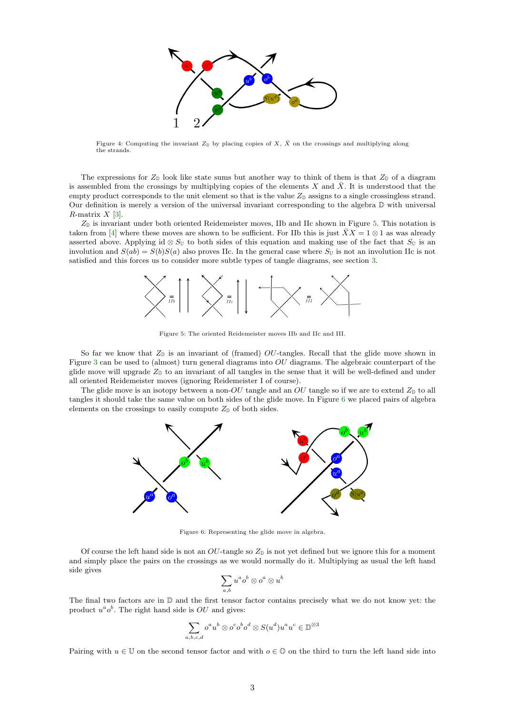<span id="page-2-3"></span>

<span id="page-2-0"></span>Figure 4: Computing the invariant  $Z_{\mathbb{D}}$  by placing copies of X,  $\bar{X}$  on the crossings and multiplying along the strands.

The expressions for  $Z_{\mathbb{D}}$  look like state sums but another way to think of them is that  $Z_{\mathbb{D}}$  of a diagram is assembled from the crossings by multiplying copies of the elements  $X$  and  $X$ . It is understood that the empty product corresponds to the unit element so that is the value  $Z_{\mathbb{D}}$  assigns to a single crossingless strand. Our definition is merely a version of the universal invariant corresponding to the algebra D with universal  $R$ -matrix  $X$  [\[3\]](#page-7-0).

<span id="page-2-1"></span> $Z_{\mathbb{D}}$  is invariant under both oriented Reidemeister moves, IIb and IIc shown in Figure [5.](#page-2-1) This notation is taken from [\[4\]](#page-7-1) where these moves are shown to be sufficient. For IIb this is just  $\bar{X}X = 1 \otimes 1$  as was already asserted above. Applying id ⊗  $S_U$  to both sides of this equation and making use of the fact that  $S_U$  is an involution and  $S(ab) = S(b)S(a)$  also proves IIc. In the general case where  $S_{\mathbb{U}}$  is not an involution IIc is not satisfied and this forces us to consider more subtle types of tangle diagrams, see section [3.](#page-7-2)



Figure 5: The oriented Reidemeister moves IIb and IIc and III.

So far we know that  $Z_{\mathbb{D}}$  is an invariant of (framed) OU-tangles. Recall that the glide move shown in Figure [3](#page-1-0) can be used to (almost) turn general diagrams into OU diagrams. The algebraic counterpart of the glide move will upgrade  $Z_{\mathbb{D}}$  to an invariant of all tangles in the sense that it will be well-defined and under all oriented Reidemeister moves (ignoring Reidemeister I of course).

<span id="page-2-2"></span>The glide move is an isotopy between a non-OU tangle and an OU tangle so if we are to extend  $Z_{\mathbb{D}}$  to all tangles it should take the same value on both sides of the glide move. In Figure [6](#page-2-2) we placed pairs of algebra elements on the crossings to easily compute  $Z_{\mathbb{D}}$  of both sides.



Figure 6: Representing the glide move in algebra.

Of course the left hand side is not an  $OU$ -tangle so  $Z_{\mathbb{D}}$  is not yet defined but we ignore this for a moment and simply place the pairs on the crossings as we would normally do it. Multiplying as usual the left hand side gives

$$
\sum_{a,b} u^a o^b \otimes o^a \otimes u^b
$$

The final two factors are in D and the first tensor factor contains precisely what we do not know yet: the product  $u^a o^b$ . The right hand side is  $OU$  and gives:

$$
\sum_{a,b,c,d} o^a u^b \otimes o^c o^b o^d \otimes S(u^d) u^a u^c \in \mathbb{D}^{\otimes 3}
$$

Pairing with  $u \in \mathbb{U}$  on the second tensor factor and with  $o \in \mathbb{O}$  on the third to turn the left hand side into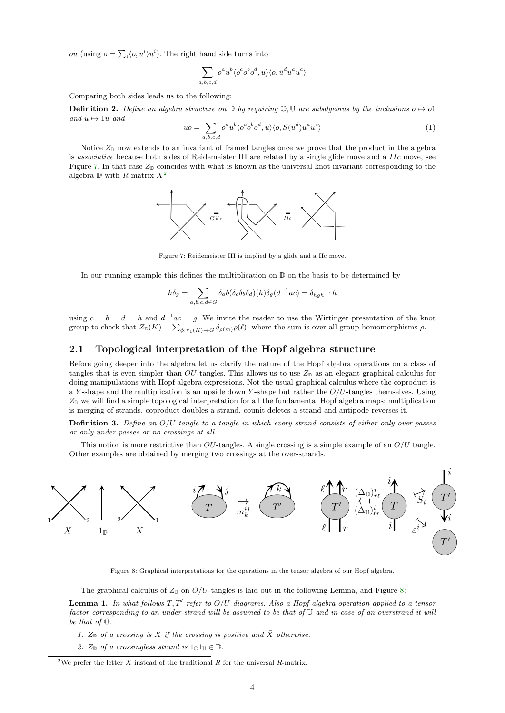*ou* (using  $o = \sum_i \langle o, u^i \rangle u^i$ ). The right hand side turns into

$$
\sum_{a,b,c,d} o^a u^b \langle o^c o^b o^d, u \rangle \langle o, \bar{u}^d u^a u^c \rangle
$$

Comparing both sides leads us to the following:

**Definition 2.** Define an algebra structure on D by requiring  $\mathbb{O}, \mathbb{U}$  are subalgebras by the inclusions o  $\mapsto$  o1 and  $u \mapsto 1u$  and

<span id="page-3-3"></span>
$$
uo = \sum_{a,b,c,d} o^a u^b \langle o^c o^b o^d, u \rangle \langle o, S(u^d) u^a u^c \rangle \tag{1}
$$

<span id="page-3-0"></span>Notice  $Z_{\mathbb{D}}$  now extends to an invariant of framed tangles once we prove that the product in the algebra is associative because both sides of Reidemeister III are related by a single glide move and a IIc move, see Figure [7.](#page-3-0) In that case  $Z_{\mathbb{D}}$  coincides with what is known as the universal knot invariant corresponding to the algebra  $\mathbb D$  with R-matrix  $X^2$  $X^2$ .



Figure 7: Reidemeister III is implied by a glide and a IIc move.

In our running example this defines the multiplication on  $\mathbb D$  on the basis to be determined by

$$
h\delta_g = \sum_{a,b,c,d \in G} \delta_a b(\delta_c \delta_b \delta_d)(h) \delta_g(d^{-1}ac) = \delta_{hgh^{-1}} h
$$

using  $c = b = d = h$  and  $d^{-1}ac = g$ . We invite the reader to use the Wirtinger presentation of the knot group to check that  $Z_{\mathbb{D}}(K) = \sum_{\phi:\pi_1(K)\to G} \delta_{\rho(m)}\rho(\ell)$ , where the sum is over all group homomorphisms  $\rho$ .

#### 2.1 Topological interpretation of the Hopf algebra structure

Before going deeper into the algebra let us clarify the nature of the Hopf algebra operations on a class of tangles that is even simpler than OU-tangles. This allows us to use  $Z_{\mathbb{D}}$  as an elegant graphical calculus for doing manipulations with Hopf algebra expressions. Not the usual graphical calculus where the coproduct is a Y-shape and the multiplication is an upside down Y-shape but rather the  $O/U$ -tangles themselves. Using  $Z_{\rm D}$  we will find a simple topological interpretation for all the fundamental Hopf algebra maps: multiplication is merging of strands, coproduct doubles a strand, counit deletes a strand and antipode reverses it.

**Definition 3.** Define an  $O/U$ -tangle to a tangle in which every strand consists of either only over-passes or only under-passes or no crossings at all.

This notion is more restrictive than  $OU$ -tangles. A single crossing is a simple example of an  $O/U$  tangle. Other examples are obtained by merging two crossings at the over-strands.

<span id="page-3-2"></span>

Figure 8: Graphical interpretations for the operations in the tensor algebra of our Hopf algebra.

The graphical calculus of  $Z_{\mathbb{D}}$  on  $O/U$ -tangles is laid out in the following Lemma, and Figure [8:](#page-3-2)

<span id="page-3-4"></span>**Lemma 1.** In what follows  $T, T'$  refer to  $O/U$  diagrams. Also a Hopf algebra operation applied to a tensor factor corresponding to an under-strand will be assumed to be that of U and in case of an overstrand it will be that of  $\mathbb{O}$ .

- 1.  $Z_{\mathbb{D}}$  of a crossing is X if the crossing is positive and  $\bar{X}$  otherwise.
- 2.  $Z_{\mathbb{D}}$  of a crossingless strand is  $1_{\mathbb{O}}1_{\mathbb{U}} \in \mathbb{D}$ .

<span id="page-3-1"></span><sup>&</sup>lt;sup>2</sup>We prefer the letter X instead of the traditional R for the universal R-matrix.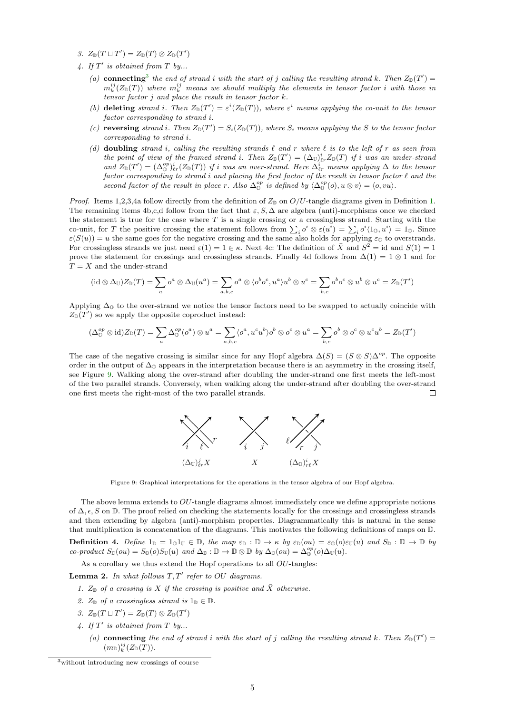- 3.  $Z_{\mathbb{D}}(T \sqcup T') = Z_{\mathbb{D}}(T) \otimes Z_{\mathbb{D}}(T')$
- 4. If  $T'$  is obtained from  $T$  by...
	- (a) connecting<sup>[3](#page-4-0)</sup> the end of strand i with the start of j calling the resulting strand k. Then  $Z_{\mathbb{D}}(T')=$  $m_k^{ij}(Z_{\mathbb{D}}(T))$  where  $m_k^{ij}$  means we should multiply the elements in tensor factor i with those in tensor factor  $j$  and place the result in tensor factor  $k$ .
	- (b) deleting strand i. Then  $Z_{\mathbb{D}}(T') = \varepsilon^{i}(Z_{\mathbb{D}}(T))$ , where  $\varepsilon^{i}$  means applying the co-unit to the tensor factor corresponding to strand i.
	- (c) reversing strand i. Then  $Z_{\mathbb{D}}(T') = S_i(Z_{\mathbb{D}}(T))$ , where  $S_i$  means applying the S to the tensor factor corresponding to strand i.
	- (d) doubling strand i, calling the resulting strands  $\ell$  and r where  $\ell$  is to the left of r as seen from the point of view of the framed strand i. Then  $Z_{\mathbb{D}}(T') = (\Delta_{\mathbb{U}})_{\ell r}^{i} Z_{\mathbb{D}}(T)$  if i was an under-strand and  $Z_{\mathbb{D}}(T') = (\Delta_{\mathbb{D}}^{op})_{\ell r}^i(Z_{\mathbb{D}}(T))$  if i was an over-strand. Here  $\Delta_{\ell r}^i$  means applying  $\Delta$  to the tensor factor corresponding to strand i and placing the first factor of the result in tensor factor  $\ell$  and the second factor of the result in place r. Also  $\Delta_{0}^{op}$  is defined by  $\langle \Delta_{0}^{op}(o), u \otimes v \rangle = \langle o, vu \rangle$ .

*Proof.* Items 1,2,3,4a follow directly from the definition of  $Z_{\mathbb{D}}$  on  $O/U$ -tangle diagrams given in Definition [1.](#page-1-2) The remaining items 4b,c,d follow from the fact that  $\varepsilon$ , S,  $\Delta$  are algebra (anti)-morphisms once we checked the statement is true for the case where  $T$  is a single crossing or a crossingless strand. Starting with the co-unit, for T the positive crossing the statement follows from  $\sum_i o^i \otimes \varepsilon(u^i) = \sum_i o^i \langle 1_0, u^i \rangle = 1_0$ . Since  $\varepsilon(S(u)) = u$  the same goes for the negative crossing and the same also holds for applying  $\varepsilon_0$  to overstrands. For crossingless strands we just need  $\varepsilon(1) = 1 \in \kappa$ . Next 4c: The definition of  $\overline{X}$  and  $S^2 = id$  and  $S(1) = 1$ prove the statement for crossings and crossingless strands. Finally 4d follows from  $\Delta(1) = 1 \otimes 1$  and for  $T = X$  and the under-strand

$$
(\mathrm{id}\otimes\Delta_{\mathbb{U}})Z_{\mathbb{D}}(T)=\sum_{a}o^{a}\otimes\Delta_{\mathbb{U}}(u^{a})=\sum_{a,b,c}o^{a}\otimes\langle o^{b}o^{c},u^{a}\rangle u^{b}\otimes u^{c}=\sum_{b,c}o^{b}o^{c}\otimes u^{b}\otimes u^{c}=Z_{\mathbb{D}}(T')
$$

Applying  $\Delta_0$  to the over-strand we notice the tensor factors need to be swapped to actually coincide with  $Z_{\mathbb{D}}(T')$  so we apply the opposite coproduct instead:

$$
(\Delta^{op}_{\mathbb{O}} \otimes \mathrm{id})Z_{\mathbb{D}}(T) = \sum_{a} \Delta^{op}_{\mathbb{O}}(o^{a}) \otimes u^{a} = \sum_{a,b,c} \langle o^{a}, u^{c}u^{b} \rangle o^{b} \otimes o^{c} \otimes u^{a} = \sum_{b,c} o^{b} \otimes o^{c} \otimes u^{c}u^{b} = Z_{\mathbb{D}}(T')
$$

<span id="page-4-1"></span>The case of the negative crossing is similar since for any Hopf algebra  $\Delta(S) = (S \otimes S)\Delta^{op}$ . The opposite order in the output of  $\Delta_0$  appears in the interpretation because there is an asymmetry in the crossing itself, see Figure [9.](#page-4-1) Walking along the over-strand after doubling the under-strand one first meets the left-most of the two parallel strands. Conversely, when walking along the under-strand after doubling the over-strand one first meets the right-most of the two parallel strands. П



Figure 9: Graphical interpretations for the operations in the tensor algebra of our Hopf algebra.

The above lemma extends to  $OU$ -tangle diagrams almost immediately once we define appropriate notions of  $\Delta$ ,  $\epsilon$ , S on D. The proof relied on checking the statements locally for the crossings and crossingless strands and then extending by algebra (anti)-morphism properties. Diagrammatically this is natural in the sense that multiplication is concatenation of the diagrams. This motivates the following definitions of maps on D.

<span id="page-4-2"></span>**Definition 4.** Define  $1_{\mathbb{D}} = 1_{0}1_{\mathbb{U}} \in \mathbb{D}$ , the map  $\varepsilon_{\mathbb{D}} : \mathbb{D} \to \kappa$  by  $\varepsilon_{\mathbb{D}}(ou) = \varepsilon_{\mathbb{D}}(o)\varepsilon_{\mathbb{U}}(u)$  and  $S_{\mathbb{D}} : \mathbb{D} \to \mathbb{D}$  by  $co\text{-}product S_{\mathbb{D}}(ou) = S_{\mathbb{D}}(o)S_{\mathbb{U}}(u) \text{ and } \Delta_{\mathbb{D}} : \mathbb{D} \to \mathbb{D} \otimes \mathbb{D} \text{ by } \Delta_{\mathbb{D}}(ou) = \Delta_{\mathbb{D}}^{op}(o) \Delta_{\mathbb{U}}(u).$ 

As a corollary we thus extend the Hopf operations to all  $OU$ -tangles:

<span id="page-4-3"></span>**Lemma 2.** In what follows  $T, T'$  refer to OU diagrams.

- 1.  $Z_{\mathbb{D}}$  of a crossing is X if the crossing is positive and  $\bar{X}$  otherwise.
- 2.  $Z_{\mathbb{D}}$  of a crossingless strand is  $1_{\mathbb{D}} \in \mathbb{D}$ .
- 3.  $Z_{\mathbb{D}}(T \sqcup T') = Z_{\mathbb{D}}(T) \otimes Z_{\mathbb{D}}(T')$
- 4. If  $T'$  is obtained from  $T$  by...
	- (a) connecting the end of strand i with the start of j calling the resulting strand k. Then  $Z_{\mathbb{D}}(T')=$  $(m_{\mathbb{D}})_k^{ij}(Z_{\mathbb{D}}(T)).$

<span id="page-4-0"></span><sup>3</sup>without introducing new crossings of course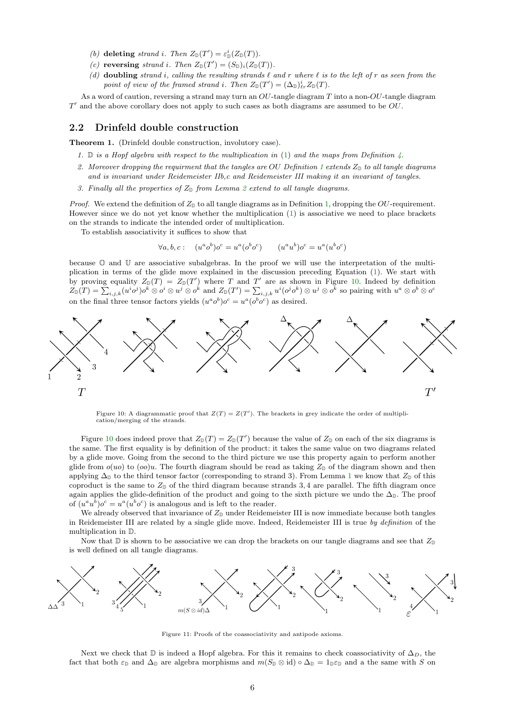- (b) deleting strand i. Then  $Z_{\mathbb{D}}(T') = \varepsilon_{\mathbb{D}}^{i}(Z_{\mathbb{D}}(T))$ .
- (c) reversing strand i. Then  $Z_{\mathbb{D}}(T') = (S_{\mathbb{D}})_i(Z_{\mathbb{D}}(T))$ .
- (d) doubling strand i, calling the resulting strands  $\ell$  and r where  $\ell$  is to the left of r as seen from the point of view of the framed strand i. Then  $Z_{\mathbb{D}}(T') = (\Delta_{\mathbb{D}})_{\ell r}^i Z_{\mathbb{D}}(T)$ .

As a word of caution, reversing a strand may turn an  $OU$ -tangle diagram T into a non- $OU$ -tangle diagram  $T'$  and the above corollary does not apply to such cases as both diagrams are assumed to be  $O$ .

#### 2.2 Drinfeld double construction

Theorem 1. (Drinfeld double construction, involutory case).

- 1.  $\mathbb{D}$  is a Hopf algebra with respect to the multiplication in [\(1\)](#page-3-3) and the maps from Definition  $\lambda$ .
- 2. Moreover dropping the requirment that the tangles are OU Definition [1](#page-1-2) extends  $Z_{\mathbb{D}}$  to all tangle diagrams and is invariant under Reidemeister IIb,c and Reidemeister III making it an invariant of tangles.
- 3. Finally all the properties of  $Z_{\mathbb{D}}$  from Lemma [2](#page-4-3) extend to all tangle diagrams.

*Proof.* We extend the definition of  $Z_{\mathbb{D}}$  to all tangle diagrams as in Definition [1,](#page-1-2) dropping the OU-requirement. However since we do not yet know whether the multiplication [\(1\)](#page-3-3) is associative we need to place brackets on the strands to indicate the intended order of multiplication.

To establish associativity it suffices to show that

$$
\forall a, b, c: \quad (u^a o^b) o^c = u^a (o^b o^c) \qquad (u^a u^b) o^c = u^a (u^b o^c)
$$

because O and U are associative subalgebras. In the proof we will use the interpretation of the multiplication in terms of the glide move explained in the discussion preceding Equation [\(1\)](#page-3-3). We start with by proving equality  $Z_{\mathbb{D}}(T) = Z_{\mathbb{D}}(T')$  where T and T' are as shown in Figure [10.](#page-5-0) Indeed by definition  $Z_{\mathbb{D}}(T) = \sum_{i,j,k} (u^i o^j) o^k \otimes o^i \otimes u^j \otimes o^k$  and  $Z_{\mathbb{D}}(T') = \sum_{i,j,k} u^i (o^j o^k) \otimes u^j \otimes o^k$  so pairing with  $u^a \otimes o^b \otimes o^c$ on the final three tensor factors yields  $(u^a o^b) o^c = u^a (o^b o^c)$  as desired.

<span id="page-5-0"></span>

Figure 10: A diagrammatic proof that  $Z(T) = Z(T')$ . The brackets in grey indicate the order of multiplication/merging of the strands.

Figure [10](#page-5-0) does indeed prove that  $Z_{\mathbb{D}}(T) = Z_{\mathbb{D}}(T')$  because the value of  $Z_{\mathbb{D}}$  on each of the six diagrams is the same. The first equality is by definition of the product: it takes the same value on two diagrams related by a glide move. Going from the second to the third picture we use this property again to perform another glide from  $o(uo)$  to  $(oo)u$ . The fourth diagram should be read as taking  $Z_{\text{D}}$  of the diagram shown and then applying  $\Delta_{\mathbb{D}}$  to the third tensor factor (corresponding to strand 3). From Lemma [1](#page-3-4) we know that  $Z_{\mathbb{D}}$  of this coproduct is the same to  $Z_{\mathbb{D}}$  of the third diagram because strands 3,4 are parallel. The fifth diagram once again applies the glide-definition of the product and going to the sixth picture we undo the  $\Delta_{\mathbb{D}}$ . The proof of  $(u^a u^b) o^c = u^a (u^b o^c)$  is analogous and is left to the reader.

We already observed that invariance of  $Z_{\mathbb{D}}$  under Reidemeister III is now immediate because both tangles in Reidemeister III are related by a single glide move. Indeed, Reidemeister III is true by definition of the multiplication in D.

Now that  $\mathbb D$  is shown to be associative we can drop the brackets on our tangle diagrams and see that  $Z_{\mathbb D}$ is well defined on all tangle diagrams.

<span id="page-5-1"></span>

Figure 11: Proofs of the coassociativity and antipode axioms.

Next we check that  $\mathbb D$  is indeed a Hopf algebra. For this it remains to check coassociativity of  $\Delta_D$ , the fact that both  $\varepsilon_{\mathbb{D}}$  and  $\Delta_{\mathbb{D}}$  are algebra morphisms and  $m(S_{\mathbb{D}} \otimes id) \circ \Delta_{\mathbb{D}} = 1_{\mathbb{D}} \varepsilon_{\mathbb{D}}$  and a the same with S on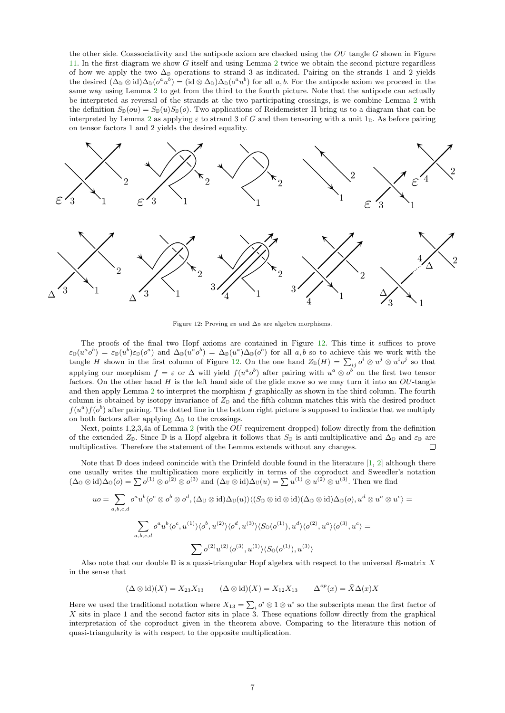<span id="page-6-1"></span>the other side. Coassociativity and the antipode axiom are checked using the  $OU$  tangle  $G$  shown in Figure [11.](#page-5-1) In the first diagram we show G itself and using Lemma [2](#page-4-3) twice we obtain the second picture regardless of how we apply the two  $\Delta_D$  operations to strand 3 as indicated. Pairing on the strands 1 and 2 yields the desired  $(\Delta_{\mathbb{D}} \otimes \text{id})\Delta_{\mathbb{D}}(o^a u^b) = (\text{id} \otimes \Delta_{\mathbb{D}})\Delta_{\mathbb{D}}(o^a u^b)$  for all  $a, b$ . For the antipode axiom we proceed in the same way using Lemma [2](#page-4-3) to get from the third to the fourth picture. Note that the antipode can actually be interpreted as reversal of the strands at the two participating crossings, is we combine Lemma [2](#page-4-3) with the definition  $S_{\mathbb{D}}(ou) = S_{\mathbb{D}}(u)S_{\mathbb{D}}(o)$ . Two applications of Reidemeister II bring us to a diagram that can be interpreted by Lemma [2](#page-4-3) as applying  $\varepsilon$  to strand 3 of G and then tensoring with a unit  $1_{\mathbb{D}}$ . As before pairing on tensor factors 1 and 2 yields the desired equality.

<span id="page-6-0"></span>

Figure 12: Proving  $\varepsilon_{\text{D}}$  and  $\Delta_{\text{D}}$  are algebra morphisms.

The proofs of the final two Hopf axioms are contained in Figure [12.](#page-6-0) This time it suffices to prove  $\varepsilon_{\mathbb{D}}(u^a o^b) = \varepsilon_{\mathbb{D}}(u^b)\varepsilon_{\mathbb{D}}(o^a)$  and  $\Delta_{\mathbb{D}}(u^a o^b) = \Delta_{\mathbb{D}}(u^a) \Delta_{\mathbb{D}}(o^b)$  for all a, b so to achieve this we work with the tangle H shown in the first column of Figure [12.](#page-6-0) On the one hand  $Z_{\mathbb{D}}(H) = \sum_{ij} o^i \otimes u^j \otimes u^i o^j$  so that applying our morphism  $f = \varepsilon$  or  $\Delta$  will yield  $f(u^a o^b)$  after pairing with  $u^a \otimes o^b$  on the first two tensor factors. On the other hand  $H$  is the left hand side of the glide move so we may turn it into an  $OU$ -tangle and then apply Lemma [2](#page-4-3) to interpret the morphism f graphically as shown in the third column. The fourth column is obtained by isotopy invariance of  $Z_{\mathbb{D}}$  and the fifth column matches this with the desired product  $f(u^a) f(o^b)$  after pairing. The dotted line in the bottom right picture is supposed to indicate that we multiply on both factors after applying  $\Delta_{\mathbb{D}}$  to the crossings.

Next, points 1,2,3,4a of Lemma [2](#page-4-3) (with the OU requirement dropped) follow directly from the definition of the extended  $Z_{\mathbb{D}}$ . Since  $\mathbb{D}$  is a Hopf algebra it follows that  $S_{\mathbb{D}}$  is anti-multiplicative and  $\Delta_{\mathbb{D}}$  and  $\varepsilon_{\mathbb{D}}$  are multiplicative. Therefore the statement of the Lemma extends without any changes.  $\Box$ 

Note that  $\mathbb D$  does indeed conincide with the Drinfeld double found in the literature [\[1,](#page-7-3) [2\]](#page-7-4) although there one usually writes the multiplication more explicitly in terms of the coproduct and Sweedler's notation  $(\Delta_0 \otimes id)\Delta_0(o) = \sum o^{(1)} \otimes o^{(2)} \otimes o^{(3)}$  and  $(\Delta_U \otimes id)\Delta_U(u) = \sum u^{(1)} \otimes u^{(2)} \otimes u^{(3)}$ . Then we find

$$
uo = \sum_{a,b,c,d} o^a u^b \langle o^c \otimes o^b \otimes o^d, (\Delta_{\mathbb{U}} \otimes \mathrm{id}) \Delta_{\mathbb{U}}(u) \rangle \langle (S_0 \otimes \mathrm{id} \otimes \mathrm{id}) (\Delta_0 \otimes \mathrm{id}) \Delta_0(o), u^d \otimes u^a \otimes u^c \rangle =
$$
  

$$
\sum_{a,b,c,d} o^a u^b \langle o^c, u^{(1)} \rangle \langle o^b, u^{(2)} \rangle \langle o^d, u^{(3)} \rangle \langle S_0(o^{(1)}), u^d \rangle \langle o^{(2)}, u^a \rangle \langle o^{(3)}, u^c \rangle =
$$
  

$$
\sum o^{(2)} u^{(2)} \langle o^{(3)}, u^{(1)} \rangle \langle S_0(o^{(1)}), u^{(3)} \rangle
$$

Also note that our double  $\mathbb D$  is a quasi-triangular Hopf algebra with respect to the universal R-matrix X in the sense that

$$
(\Delta \otimes id)(X) = X_{23}X_{13} \qquad (\Delta \otimes id)(X) = X_{12}X_{13} \qquad \Delta^{op}(x) = \overline{X}\Delta(x)X
$$

Here we used the traditional notation where  $X_{13} = \sum_i o^i \otimes 1 \otimes u^i$  so the subscripts mean the first factor of X sits in place 1 and the second factor sits in place 3. These equations follow directly from the graphical interpretation of the coproduct given in the theorem above. Comparing to the literature this notion of quasi-triangularity is with respect to the opposite multiplication.